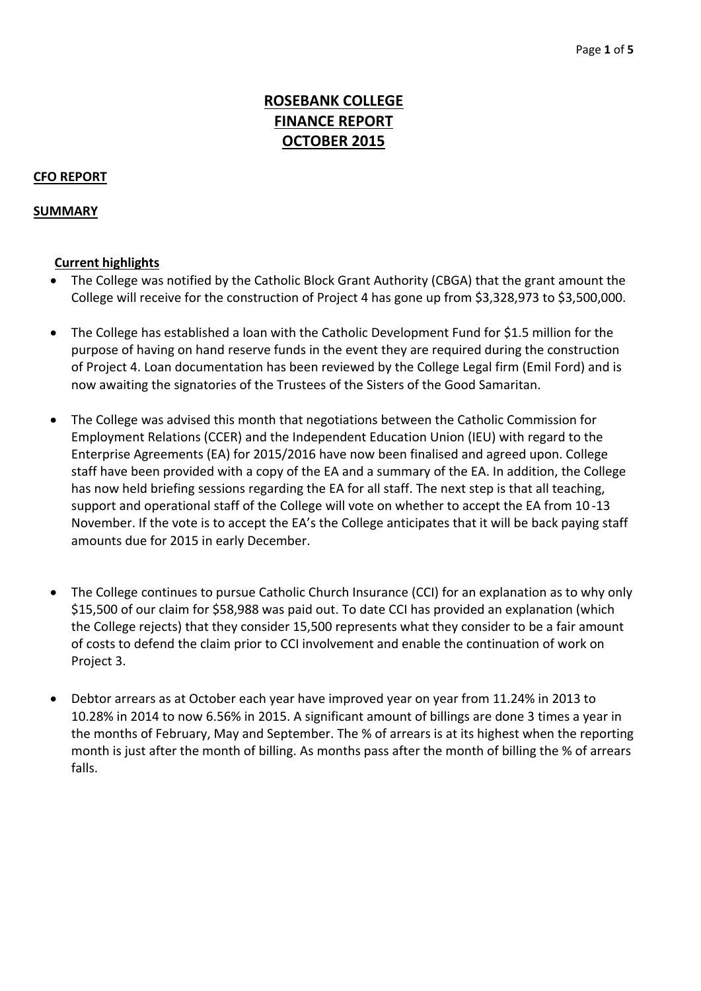# **ROSEBANK COLLEGE FINANCE REPORT OCTOBER 2015**

### **CFO REPORT**

### **SUMMARY**

#### **Current highlights**

- The College was notified by the Catholic Block Grant Authority (CBGA) that the grant amount the College will receive for the construction of Project 4 has gone up from \$3,328,973 to \$3,500,000.
- The College has established a loan with the Catholic Development Fund for \$1.5 million for the purpose of having on hand reserve funds in the event they are required during the construction of Project 4. Loan documentation has been reviewed by the College Legal firm (Emil Ford) and is now awaiting the signatories of the Trustees of the Sisters of the Good Samaritan.
- The College was advised this month that negotiations between the Catholic Commission for Employment Relations (CCER) and the Independent Education Union (IEU) with regard to the Enterprise Agreements (EA) for 2015/2016 have now been finalised and agreed upon. College staff have been provided with a copy of the EA and a summary of the EA. In addition, the College has now held briefing sessions regarding the EA for all staff. The next step is that all teaching, support and operational staff of the College will vote on whether to accept the EA from 10 ‐13 November. If the vote is to accept the EA's the College anticipates that it will be back paying staff amounts due for 2015 in early December.
- The College continues to pursue Catholic Church Insurance (CCI) for an explanation as to why only \$15,500 of our claim for \$58,988 was paid out. To date CCI has provided an explanation (which the College rejects) that they consider 15,500 represents what they consider to be a fair amount of costs to defend the claim prior to CCI involvement and enable the continuation of work on Project 3.
- Debtor arrears as at October each year have improved year on year from 11.24% in 2013 to 10.28% in 2014 to now 6.56% in 2015. A significant amount of billings are done 3 times a year in the months of February, May and September. The % of arrears is at its highest when the reporting month is just after the month of billing. As months pass after the month of billing the % of arrears falls.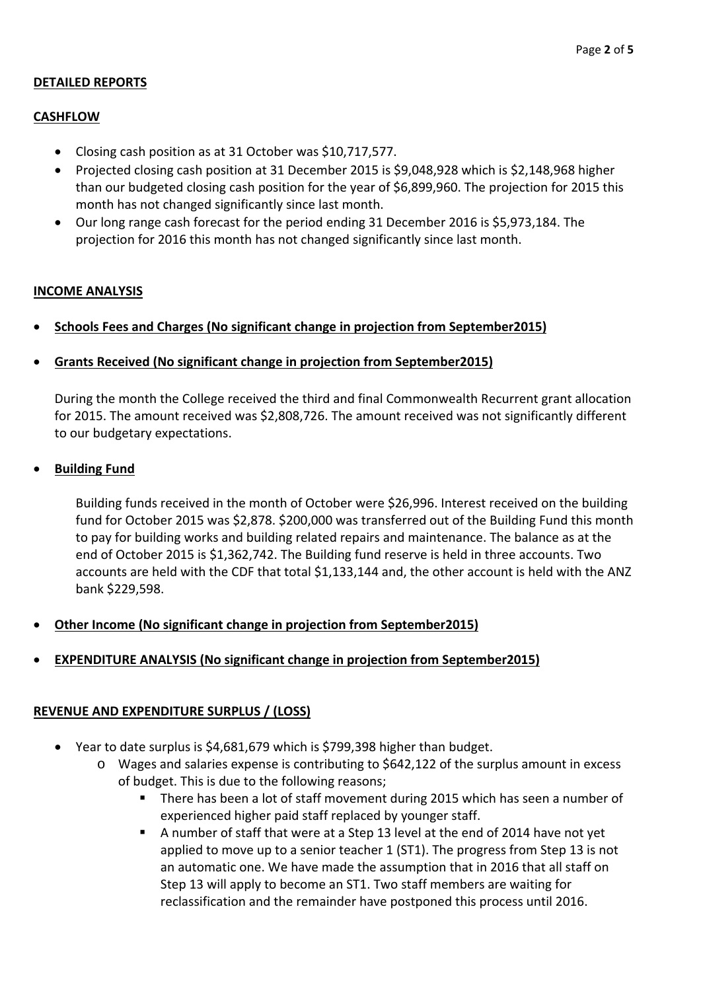### **DETAILED REPORTS**

### **CASHFLOW**

- Closing cash position as at 31 October was \$10,717,577.
- Projected closing cash position at 31 December 2015 is \$9,048,928 which is \$2,148,968 higher than our budgeted closing cash position for the year of \$6,899,960. The projection for 2015 this month has not changed significantly since last month.
- Our long range cash forecast for the period ending 31 December 2016 is \$5,973,184. The projection for 2016 this month has not changed significantly since last month.

#### **INCOME ANALYSIS**

- **Schools Fees and Charges (No significant change in projection from September2015)**
- **Grants Received (No significant change in projection from September2015)**

During the month the College received the third and final Commonwealth Recurrent grant allocation for 2015. The amount received was \$2,808,726. The amount received was not significantly different to our budgetary expectations.

#### **Building Fund**

Building funds received in the month of October were \$26,996. Interest received on the building fund for October 2015 was \$2,878. \$200,000 was transferred out of the Building Fund this month to pay for building works and building related repairs and maintenance. The balance as at the end of October 2015 is \$1,362,742. The Building fund reserve is held in three accounts. Two accounts are held with the CDF that total \$1,133,144 and, the other account is held with the ANZ bank \$229,598.

- **Other Income (No significant change in projection from September2015)**
- **EXPENDITURE ANALYSIS (No significant change in projection from September2015)**

#### **REVENUE AND EXPENDITURE SURPLUS / (LOSS)**

- Year to date surplus is \$4,681,679 which is \$799,398 higher than budget.
	- o Wages and salaries expense is contributing to \$642,122 of the surplus amount in excess of budget. This is due to the following reasons;
		- There has been a lot of staff movement during 2015 which has seen a number of experienced higher paid staff replaced by younger staff.
		- A number of staff that were at a Step 13 level at the end of 2014 have not yet applied to move up to a senior teacher 1 (ST1). The progress from Step 13 is not an automatic one. We have made the assumption that in 2016 that all staff on Step 13 will apply to become an ST1. Two staff members are waiting for reclassification and the remainder have postponed this process until 2016.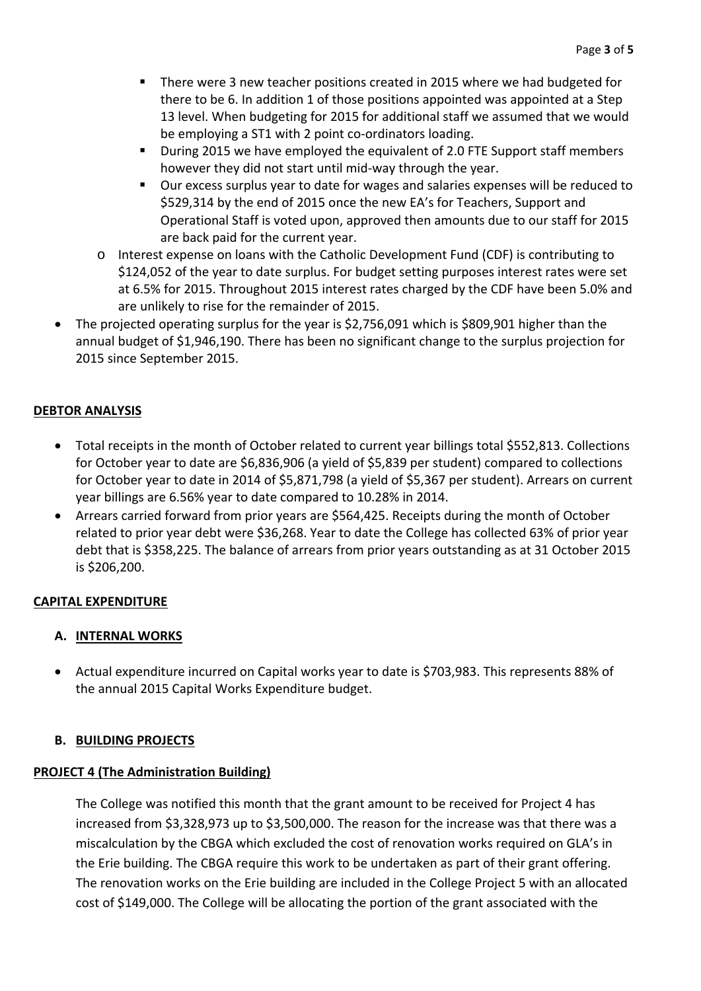- **There were 3 new teacher positions created in 2015 where we had budgeted for** there to be 6. In addition 1 of those positions appointed was appointed at a Step 13 level. When budgeting for 2015 for additional staff we assumed that we would be employing a ST1 with 2 point co-ordinators loading.
- During 2015 we have employed the equivalent of 2.0 FTE Support staff members however they did not start until mid‐way through the year.
- Our excess surplus year to date for wages and salaries expenses will be reduced to \$529,314 by the end of 2015 once the new EA's for Teachers, Support and Operational Staff is voted upon, approved then amounts due to our staff for 2015 are back paid for the current year.
- o Interest expense on loans with the Catholic Development Fund (CDF) is contributing to \$124,052 of the year to date surplus. For budget setting purposes interest rates were set at 6.5% for 2015. Throughout 2015 interest rates charged by the CDF have been 5.0% and are unlikely to rise for the remainder of 2015.
- The projected operating surplus for the year is \$2,756,091 which is \$809,901 higher than the annual budget of \$1,946,190. There has been no significant change to the surplus projection for 2015 since September 2015.

### **DEBTOR ANALYSIS**

- Total receipts in the month of October related to current year billings total \$552,813. Collections for October year to date are \$6,836,906 (a yield of \$5,839 per student) compared to collections for October year to date in 2014 of \$5,871,798 (a yield of \$5,367 per student). Arrears on current year billings are 6.56% year to date compared to 10.28% in 2014.
- Arrears carried forward from prior years are \$564,425. Receipts during the month of October related to prior year debt were \$36,268. Year to date the College has collected 63% of prior year debt that is \$358,225. The balance of arrears from prior years outstanding as at 31 October 2015 is \$206,200.

### **CAPITAL EXPENDITURE**

## **A. INTERNAL WORKS**

 Actual expenditure incurred on Capital works year to date is \$703,983. This represents 88% of the annual 2015 Capital Works Expenditure budget.

### **B. BUILDING PROJECTS**

### **PROJECT 4 (The Administration Building)**

The College was notified this month that the grant amount to be received for Project 4 has increased from \$3,328,973 up to \$3,500,000. The reason for the increase was that there was a miscalculation by the CBGA which excluded the cost of renovation works required on GLA's in the Erie building. The CBGA require this work to be undertaken as part of their grant offering. The renovation works on the Erie building are included in the College Project 5 with an allocated cost of \$149,000. The College will be allocating the portion of the grant associated with the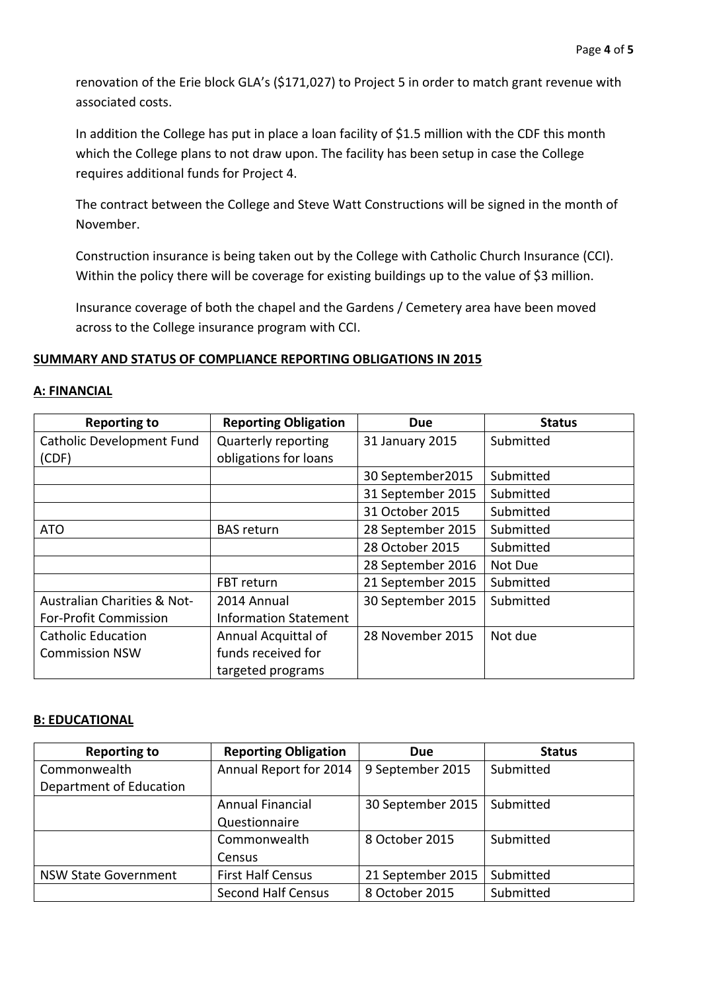renovation of the Erie block GLA's (\$171,027) to Project 5 in order to match grant revenue with associated costs.

In addition the College has put in place a loan facility of \$1.5 million with the CDF this month which the College plans to not draw upon. The facility has been setup in case the College requires additional funds for Project 4.

The contract between the College and Steve Watt Constructions will be signed in the month of November.

Construction insurance is being taken out by the College with Catholic Church Insurance (CCI). Within the policy there will be coverage for existing buildings up to the value of \$3 million.

Insurance coverage of both the chapel and the Gardens / Cemetery area have been moved across to the College insurance program with CCI.

### **SUMMARY AND STATUS OF COMPLIANCE REPORTING OBLIGATIONS IN 2015**

#### **A: FINANCIAL**

| <b>Reporting to</b>              | <b>Reporting Obligation</b>  | <b>Due</b>        | <b>Status</b> |
|----------------------------------|------------------------------|-------------------|---------------|
| <b>Catholic Development Fund</b> | <b>Quarterly reporting</b>   | 31 January 2015   | Submitted     |
| (CDF)                            | obligations for loans        |                   |               |
|                                  |                              | 30 September 2015 | Submitted     |
|                                  |                              | 31 September 2015 | Submitted     |
|                                  |                              | 31 October 2015   | Submitted     |
| <b>ATO</b>                       | <b>BAS</b> return            | 28 September 2015 | Submitted     |
|                                  |                              | 28 October 2015   | Submitted     |
|                                  |                              | 28 September 2016 | Not Due       |
|                                  | FBT return                   | 21 September 2015 | Submitted     |
| Australian Charities & Not-      | 2014 Annual                  | 30 September 2015 | Submitted     |
| <b>For-Profit Commission</b>     | <b>Information Statement</b> |                   |               |
| <b>Catholic Education</b>        | Annual Acquittal of          | 28 November 2015  | Not due       |
| <b>Commission NSW</b>            | funds received for           |                   |               |
|                                  | targeted programs            |                   |               |

#### **B: EDUCATIONAL**

| <b>Reporting to</b>         | <b>Reporting Obligation</b> | Due               | <b>Status</b> |
|-----------------------------|-----------------------------|-------------------|---------------|
| Commonwealth                | Annual Report for 2014      | 9 September 2015  | Submitted     |
| Department of Education     |                             |                   |               |
|                             | <b>Annual Financial</b>     | 30 September 2015 | Submitted     |
|                             | Questionnaire               |                   |               |
|                             | Commonwealth                | 8 October 2015    | Submitted     |
|                             | Census                      |                   |               |
| <b>NSW State Government</b> | <b>First Half Census</b>    | 21 September 2015 | Submitted     |
|                             | <b>Second Half Census</b>   | 8 October 2015    | Submitted     |